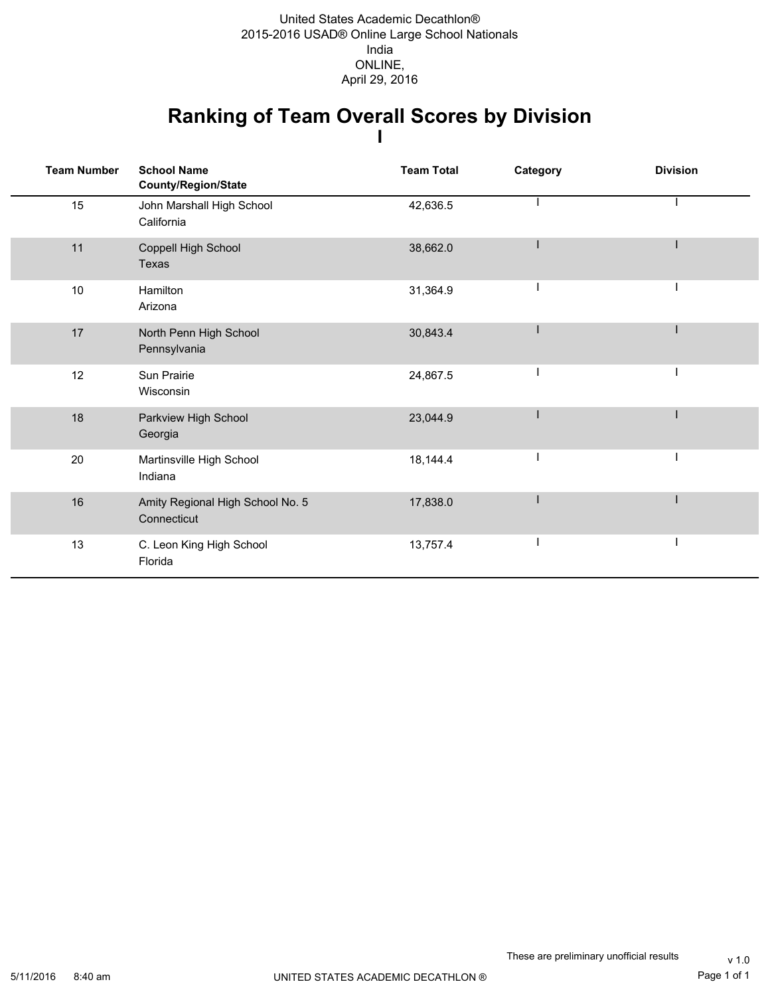### **Ranking of Team Overall Scores by Division I**

| <b>Team Number</b> | <b>School Name</b><br>County/Region/State       | <b>Team Total</b> | Category | <b>Division</b> |
|--------------------|-------------------------------------------------|-------------------|----------|-----------------|
| 15                 | John Marshall High School<br>California         | 42,636.5          |          |                 |
| 11                 | Coppell High School<br><b>Texas</b>             | 38,662.0          |          |                 |
| 10                 | Hamilton<br>Arizona                             | 31,364.9          |          |                 |
| 17                 | North Penn High School<br>Pennsylvania          | 30,843.4          |          |                 |
| 12                 | Sun Prairie<br>Wisconsin                        | 24,867.5          |          |                 |
| 18                 | Parkview High School<br>Georgia                 | 23,044.9          |          |                 |
| 20                 | Martinsville High School<br>Indiana             | 18,144.4          |          |                 |
| 16                 | Amity Regional High School No. 5<br>Connecticut | 17,838.0          |          |                 |
| 13                 | C. Leon King High School<br>Florida             | 13,757.4          |          |                 |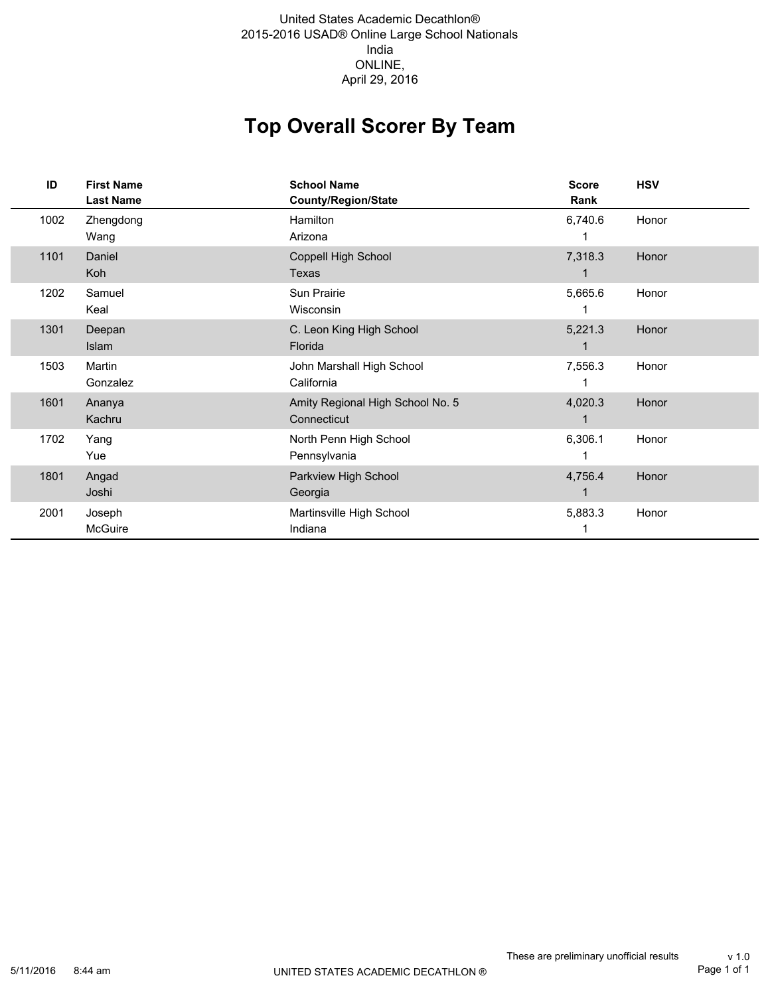#### 2015-2016 USAD® Online Large School Nationals India ONLINE, United States Academic Decathlon® April 29, 2016

## **Top Overall Scorer By Team**

| ID   | <b>First Name</b><br><b>Last Name</b> | <b>School Name</b><br><b>County/Region/State</b> | <b>Score</b><br>Rank | <b>HSV</b> |
|------|---------------------------------------|--------------------------------------------------|----------------------|------------|
| 1002 | Zhengdong<br>Wang                     | Hamilton<br>Arizona                              | 6,740.6              | Honor      |
| 1101 | Daniel<br>Koh                         | Coppell High School<br>Texas                     | 7,318.3              | Honor      |
| 1202 | Samuel<br>Keal                        | Sun Prairie<br>Wisconsin                         | 5,665.6              | Honor      |
| 1301 | Deepan<br>Islam                       | C. Leon King High School<br>Florida              | 5,221.3              | Honor      |
| 1503 | Martin<br>Gonzalez                    | John Marshall High School<br>California          | 7,556.3              | Honor      |
| 1601 | Ananya<br>Kachru                      | Amity Regional High School No. 5<br>Connecticut  | 4,020.3              | Honor      |
| 1702 | Yang<br>Yue                           | North Penn High School<br>Pennsylvania           | 6,306.1              | Honor      |
| 1801 | Angad<br>Joshi                        | Parkview High School<br>Georgia                  | 4,756.4              | Honor      |
| 2001 | Joseph<br>McGuire                     | Martinsville High School<br>Indiana              | 5,883.3              | Honor      |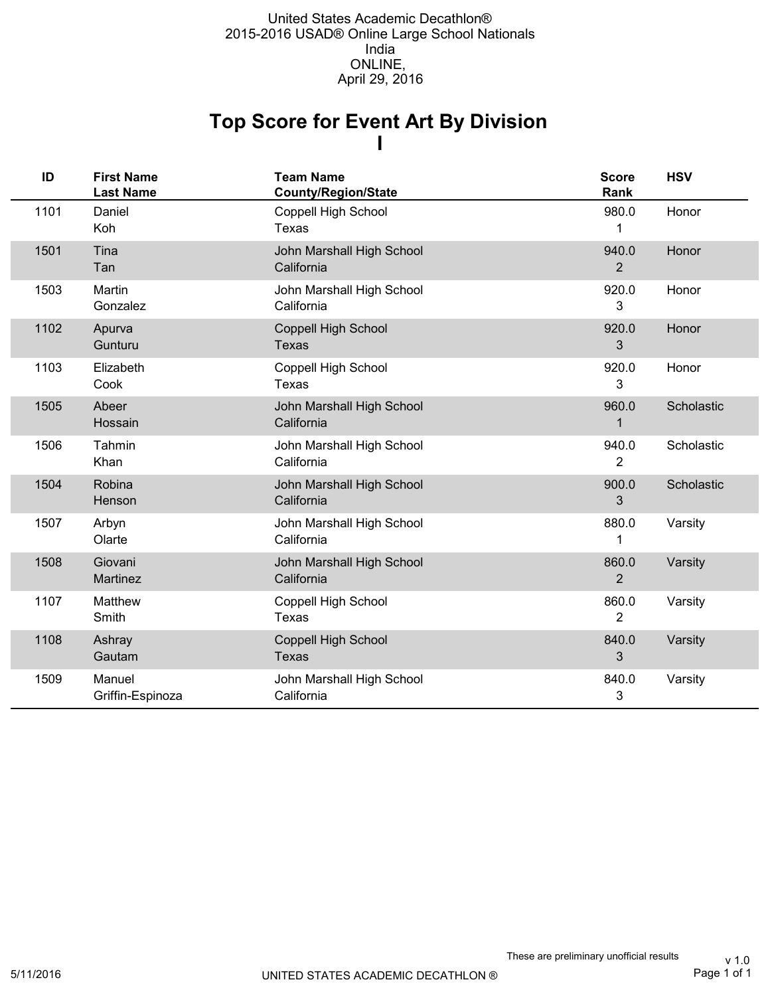## **I Top Score for Event Art By Division**

| ID   | <b>First Name</b><br><b>Last Name</b> | <b>Team Name</b><br><b>County/Region/State</b> | <b>Score</b><br>Rank    | <b>HSV</b> |
|------|---------------------------------------|------------------------------------------------|-------------------------|------------|
| 1101 | Daniel<br>Koh                         | Coppell High School<br>Texas                   | 980.0<br>1              | Honor      |
| 1501 | Tina<br>Tan                           | John Marshall High School<br>California        | 940.0<br>$\overline{2}$ | Honor      |
| 1503 | Martin<br>Gonzalez                    | John Marshall High School<br>California        | 920.0<br>3              | Honor      |
| 1102 | Apurva<br>Gunturu                     | <b>Coppell High School</b><br><b>Texas</b>     | 920.0<br>3              | Honor      |
| 1103 | Elizabeth<br>Cook                     | Coppell High School<br>Texas                   | 920.0<br>3              | Honor      |
| 1505 | Abeer<br>Hossain                      | John Marshall High School<br>California        | 960.0<br>1              | Scholastic |
| 1506 | Tahmin<br>Khan                        | John Marshall High School<br>California        | 940.0<br>2              | Scholastic |
| 1504 | Robina<br>Henson                      | John Marshall High School<br>California        | 900.0<br>3              | Scholastic |
| 1507 | Arbyn<br>Olarte                       | John Marshall High School<br>California        | 880.0<br>1              | Varsity    |
| 1508 | Giovani<br>Martinez                   | John Marshall High School<br>California        | 860.0<br>$\overline{2}$ | Varsity    |
| 1107 | Matthew<br>Smith                      | Coppell High School<br><b>Texas</b>            | 860.0<br>2              | Varsity    |
| 1108 | Ashray<br>Gautam                      | Coppell High School<br><b>Texas</b>            | 840.0<br>3              | Varsity    |
| 1509 | Manuel<br>Griffin-Espinoza            | John Marshall High School<br>California        | 840.0<br>3              | Varsity    |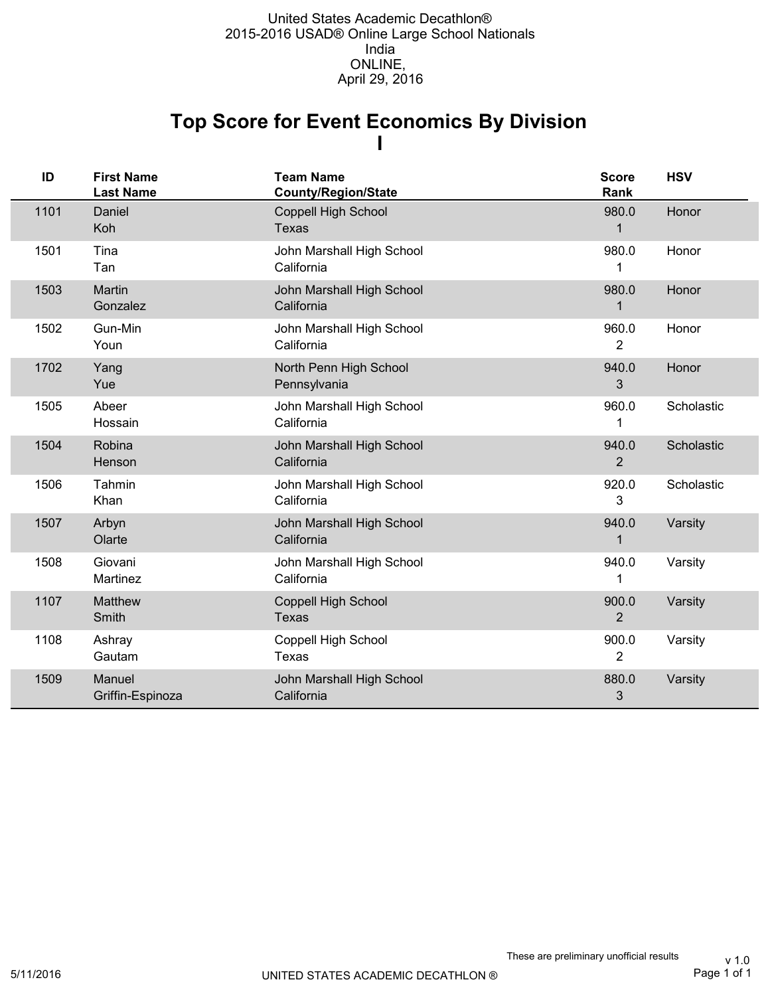### **I Top Score for Event Economics By Division**

| ID   | <b>First Name</b><br><b>Last Name</b> | <b>Team Name</b><br>County/Region/State | <b>Score</b><br>Rank    | <b>HSV</b> |
|------|---------------------------------------|-----------------------------------------|-------------------------|------------|
| 1101 | Daniel<br>Koh                         | Coppell High School<br><b>Texas</b>     | 980.0<br>1              | Honor      |
| 1501 | Tina<br>Tan                           | John Marshall High School<br>California | 980.0<br>1              | Honor      |
| 1503 | Martin<br>Gonzalez                    | John Marshall High School<br>California | 980.0<br>1              | Honor      |
| 1502 | Gun-Min<br>Youn                       | John Marshall High School<br>California | 960.0<br>2              | Honor      |
| 1702 | Yang<br>Yue                           | North Penn High School<br>Pennsylvania  | 940.0<br>3              | Honor      |
| 1505 | Abeer<br>Hossain                      | John Marshall High School<br>California | 960.0<br>1              | Scholastic |
| 1504 | Robina<br>Henson                      | John Marshall High School<br>California | 940.0<br>$\overline{2}$ | Scholastic |
| 1506 | Tahmin<br>Khan                        | John Marshall High School<br>California | 920.0<br>3              | Scholastic |
| 1507 | Arbyn<br>Olarte                       | John Marshall High School<br>California | 940.0<br>1              | Varsity    |
| 1508 | Giovani<br>Martinez                   | John Marshall High School<br>California | 940.0                   | Varsity    |
| 1107 | <b>Matthew</b><br>Smith               | Coppell High School<br>Texas            | 900.0<br>2              | Varsity    |
| 1108 | Ashray<br>Gautam                      | Coppell High School<br>Texas            | 900.0<br>$\overline{2}$ | Varsity    |
| 1509 | Manuel<br>Griffin-Espinoza            | John Marshall High School<br>California | 880.0<br>3              | Varsity    |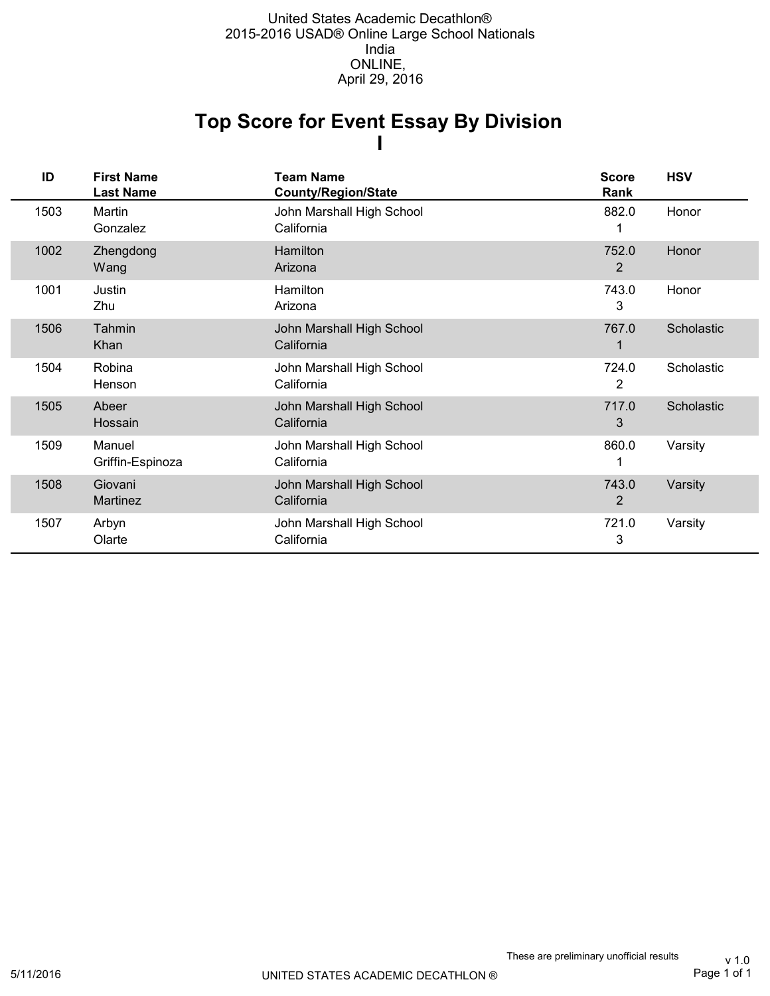### **I Top Score for Event Essay By Division**

| ID   | <b>First Name</b><br><b>Last Name</b> | <b>Team Name</b><br><b>County/Region/State</b> | <b>Score</b><br>Rank | <b>HSV</b> |
|------|---------------------------------------|------------------------------------------------|----------------------|------------|
| 1503 | Martin<br>Gonzalez                    | John Marshall High School<br>California        | 882.0                | Honor      |
| 1002 | Zhengdong<br>Wang                     | Hamilton<br>Arizona                            | 752.0<br>2           | Honor      |
| 1001 | Justin<br>Zhu                         | Hamilton<br>Arizona                            | 743.0<br>3           | Honor      |
| 1506 | Tahmin<br>Khan                        | John Marshall High School<br>California        | 767.0                | Scholastic |
| 1504 | Robina<br>Henson                      | John Marshall High School<br>California        | 724.0<br>2           | Scholastic |
| 1505 | Abeer<br>Hossain                      | John Marshall High School<br>California        | 717.0<br>3           | Scholastic |
| 1509 | Manuel<br>Griffin-Espinoza            | John Marshall High School<br>California        | 860.0<br>1           | Varsity    |
| 1508 | Giovani<br>Martinez                   | John Marshall High School<br>California        | 743.0<br>2           | Varsity    |
| 1507 | Arbyn<br>Olarte                       | John Marshall High School<br>California        | 721.0<br>3           | Varsity    |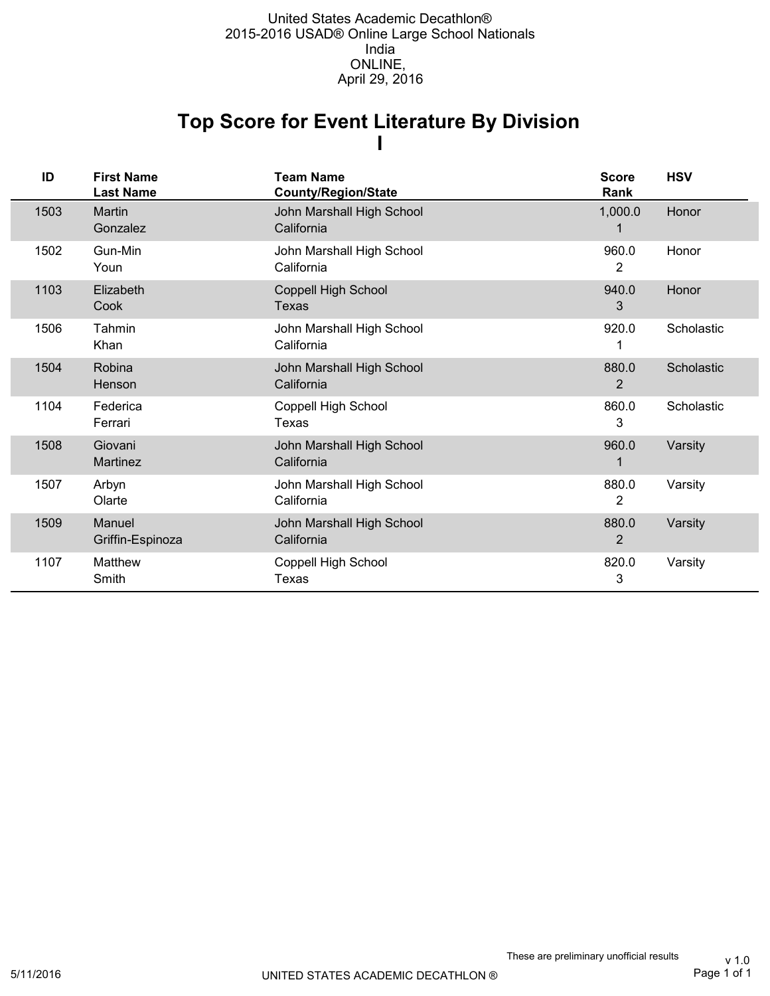### **I Top Score for Event Literature By Division**

| ID   | <b>First Name</b><br><b>Last Name</b> | <b>Team Name</b><br><b>County/Region/State</b> | <b>Score</b><br>Rank    | <b>HSV</b> |
|------|---------------------------------------|------------------------------------------------|-------------------------|------------|
| 1503 | Martin<br>Gonzalez                    | John Marshall High School<br>California        | 1,000.0                 | Honor      |
| 1502 | Gun-Min<br>Youn                       | John Marshall High School<br>California        | 960.0<br>$\overline{2}$ | Honor      |
| 1103 | Elizabeth<br>Cook                     | <b>Coppell High School</b><br>Texas            | 940.0<br>3              | Honor      |
| 1506 | Tahmin<br>Khan                        | John Marshall High School<br>California        | 920.0                   | Scholastic |
| 1504 | Robina<br>Henson                      | John Marshall High School<br>California        | 880.0<br>2              | Scholastic |
| 1104 | Federica<br>Ferrari                   | Coppell High School<br>Texas                   | 860.0<br>3              | Scholastic |
| 1508 | Giovani<br>Martinez                   | John Marshall High School<br>California        | 960.0                   | Varsity    |
| 1507 | Arbyn<br>Olarte                       | John Marshall High School<br>California        | 880.0<br>2              | Varsity    |
| 1509 | Manuel<br>Griffin-Espinoza            | John Marshall High School<br>California        | 880.0<br>2              | Varsity    |
| 1107 | Matthew<br>Smith                      | Coppell High School<br><b>Texas</b>            | 820.0<br>3              | Varsity    |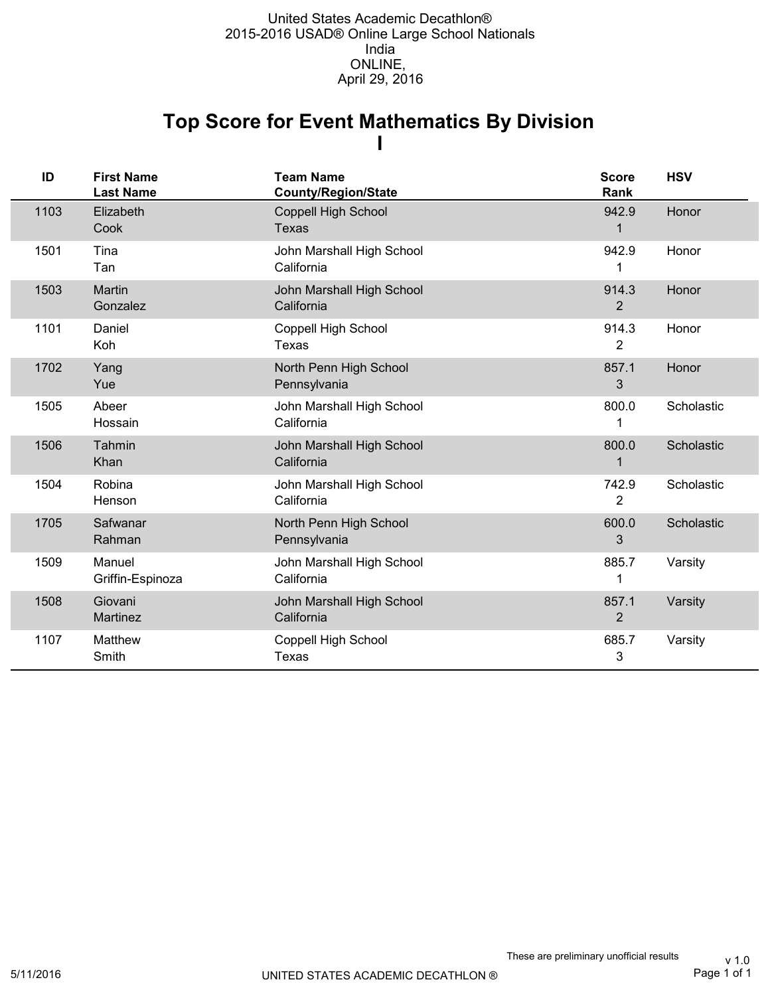### **I Top Score for Event Mathematics By Division**

| ID   | <b>First Name</b><br><b>Last Name</b> | <b>Team Name</b><br><b>County/Region/State</b> | <b>Score</b><br>Rank    | <b>HSV</b> |
|------|---------------------------------------|------------------------------------------------|-------------------------|------------|
| 1103 | Elizabeth<br>Cook                     | Coppell High School<br><b>Texas</b>            | 942.9                   | Honor      |
| 1501 | Tina<br>Tan                           | John Marshall High School<br>California        | 942.9                   | Honor      |
| 1503 | Martin<br>Gonzalez                    | John Marshall High School<br>California        | 914.3<br>2              | Honor      |
| 1101 | Daniel<br>Koh                         | Coppell High School<br>Texas                   | 914.3<br>$\overline{2}$ | Honor      |
| 1702 | Yang<br>Yue                           | North Penn High School<br>Pennsylvania         | 857.1<br>3              | Honor      |
| 1505 | Abeer<br>Hossain                      | John Marshall High School<br>California        | 800.0                   | Scholastic |
| 1506 | Tahmin<br>Khan                        | John Marshall High School<br>California        | 800.0<br>1              | Scholastic |
| 1504 | Robina<br>Henson                      | John Marshall High School<br>California        | 742.9<br>$\overline{c}$ | Scholastic |
| 1705 | Safwanar<br>Rahman                    | North Penn High School<br>Pennsylvania         | 600.0<br>3              | Scholastic |
| 1509 | Manuel<br>Griffin-Espinoza            | John Marshall High School<br>California        | 885.7                   | Varsity    |
| 1508 | Giovani<br>Martinez                   | John Marshall High School<br>California        | 857.1<br>$\overline{2}$ | Varsity    |
| 1107 | Matthew<br>Smith                      | Coppell High School<br><b>Texas</b>            | 685.7<br>3              | Varsity    |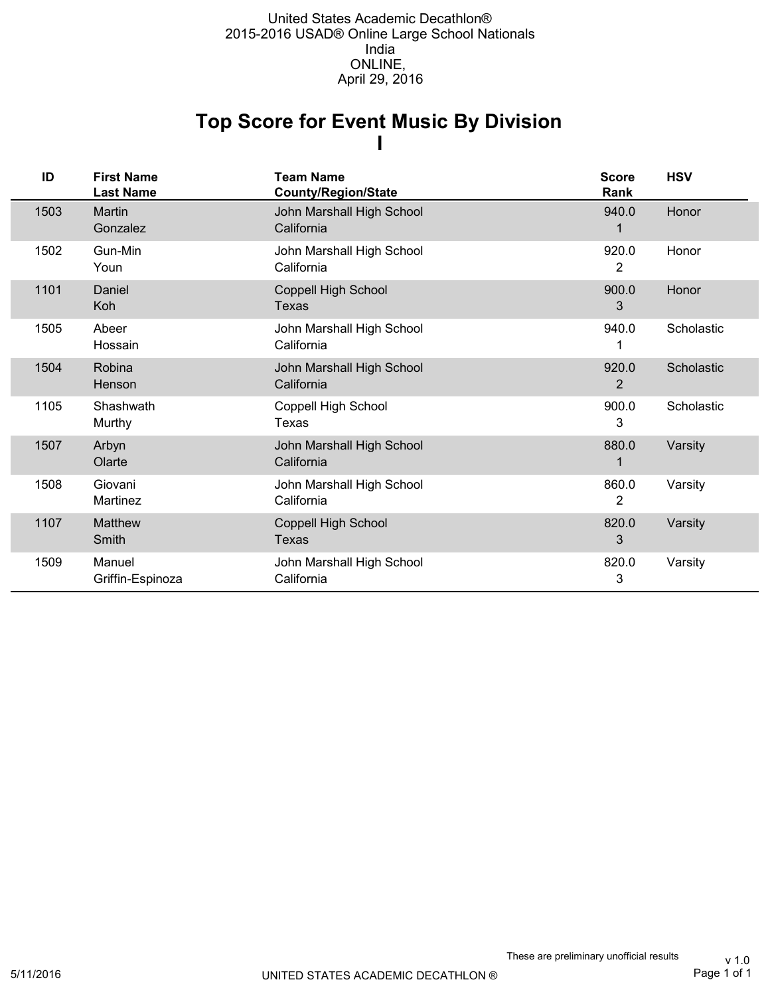### **I Top Score for Event Music By Division**

| ID   | <b>First Name</b><br><b>Last Name</b> | <b>Team Name</b><br><b>County/Region/State</b> | <b>Score</b><br>Rank    | <b>HSV</b> |
|------|---------------------------------------|------------------------------------------------|-------------------------|------------|
| 1503 | Martin<br>Gonzalez                    | John Marshall High School<br>California        | 940.0                   | Honor      |
| 1502 | Gun-Min<br>Youn                       | John Marshall High School<br>California        | 920.0<br>$\overline{2}$ | Honor      |
| 1101 | Daniel<br>Koh                         | Coppell High School<br>Texas                   | 900.0<br>3              | Honor      |
| 1505 | Abeer<br>Hossain                      | John Marshall High School<br>California        | 940.0                   | Scholastic |
| 1504 | Robina<br>Henson                      | John Marshall High School<br>California        | 920.0<br>2              | Scholastic |
| 1105 | Shashwath<br>Murthy                   | Coppell High School<br>Texas                   | 900.0<br>3              | Scholastic |
| 1507 | Arbyn<br>Olarte                       | John Marshall High School<br>California        | 880.0                   | Varsity    |
| 1508 | Giovani<br>Martinez                   | John Marshall High School<br>California        | 860.0<br>2              | Varsity    |
| 1107 | <b>Matthew</b><br>Smith               | Coppell High School<br>Texas                   | 820.0<br>3              | Varsity    |
| 1509 | Manuel<br>Griffin-Espinoza            | John Marshall High School<br>California        | 820.0<br>3              | Varsity    |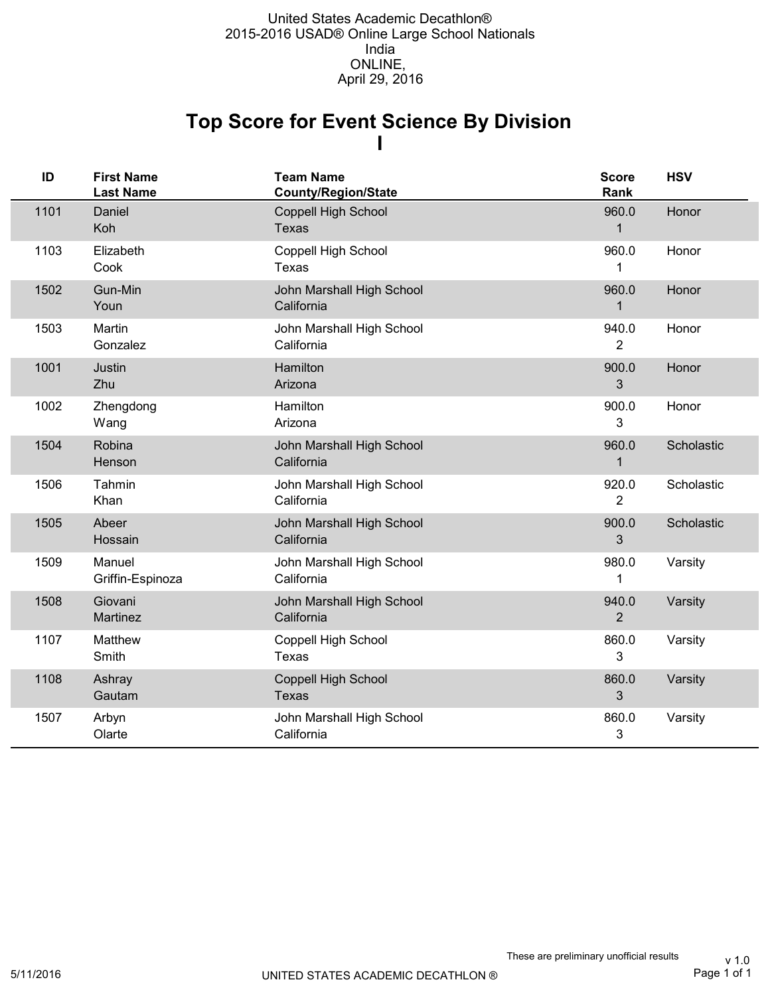## **I Top Score for Event Science By Division**

| ID   | <b>First Name</b><br><b>Last Name</b> | <b>Team Name</b><br><b>County/Region/State</b> | <b>Score</b><br>Rank    | <b>HSV</b> |
|------|---------------------------------------|------------------------------------------------|-------------------------|------------|
| 1101 | Daniel<br>Koh                         | <b>Coppell High School</b><br><b>Texas</b>     | 960.0<br>$\mathbf 1$    | Honor      |
| 1103 | Elizabeth<br>Cook                     | Coppell High School<br><b>Texas</b>            | 960.0                   | Honor      |
| 1502 | Gun-Min<br>Youn                       | John Marshall High School<br>California        | 960.0<br>1              | Honor      |
| 1503 | Martin<br>Gonzalez                    | John Marshall High School<br>California        | 940.0<br>$\overline{2}$ | Honor      |
| 1001 | Justin<br>Zhu                         | Hamilton<br>Arizona                            | 900.0<br>3              | Honor      |
| 1002 | Zhengdong<br>Wang                     | Hamilton<br>Arizona                            | 900.0<br>3              | Honor      |
| 1504 | Robina<br>Henson                      | John Marshall High School<br>California        | 960.0<br>$\mathbf{1}$   | Scholastic |
| 1506 | Tahmin<br>Khan                        | John Marshall High School<br>California        | 920.0<br>$\overline{2}$ | Scholastic |
| 1505 | Abeer<br>Hossain                      | John Marshall High School<br>California        | 900.0<br>3              | Scholastic |
| 1509 | Manuel<br>Griffin-Espinoza            | John Marshall High School<br>California        | 980.0<br>1              | Varsity    |
| 1508 | Giovani<br>Martinez                   | John Marshall High School<br>California        | 940.0<br>$\overline{2}$ | Varsity    |
| 1107 | Matthew<br>Smith                      | Coppell High School<br>Texas                   | 860.0<br>3              | Varsity    |
| 1108 | Ashray<br>Gautam                      | <b>Coppell High School</b><br><b>Texas</b>     | 860.0<br>$\mathfrak{S}$ | Varsity    |
| 1507 | Arbyn<br>Olarte                       | John Marshall High School<br>California        | 860.0<br>3              | Varsity    |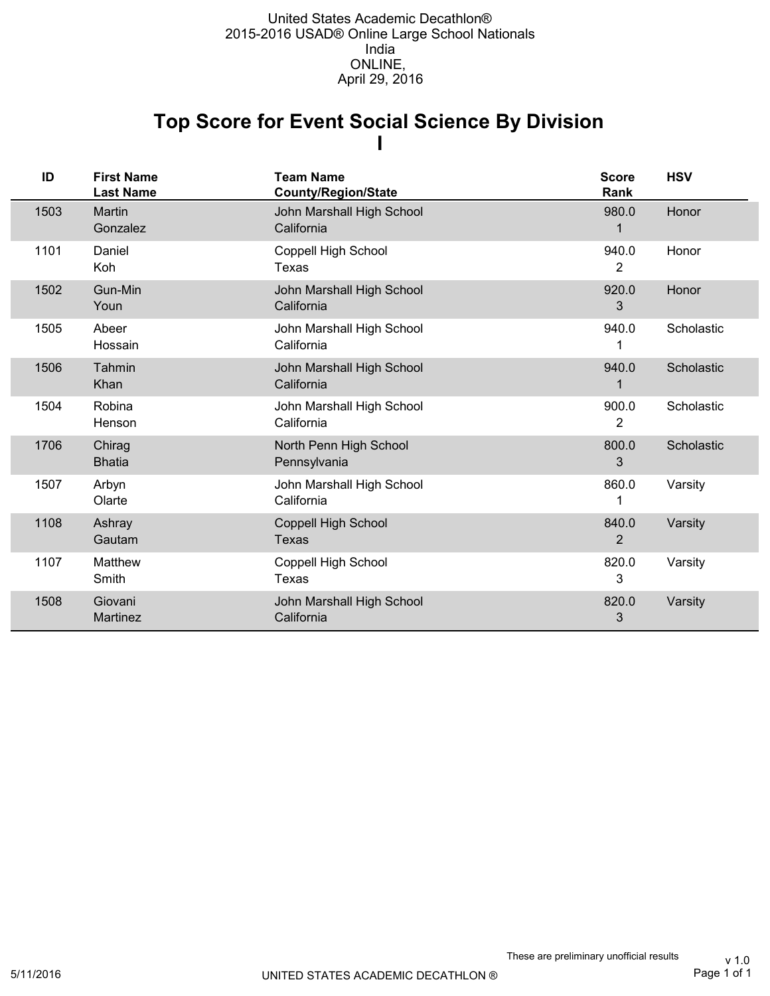## **I Top Score for Event Social Science By Division**

| ID   | <b>First Name</b><br><b>Last Name</b> | <b>Team Name</b><br><b>County/Region/State</b> | <b>Score</b><br>Rank    | <b>HSV</b> |
|------|---------------------------------------|------------------------------------------------|-------------------------|------------|
| 1503 | Martin<br>Gonzalez                    | John Marshall High School<br>California        | 980.0                   | Honor      |
| 1101 | Daniel<br>Koh                         | Coppell High School<br>Texas                   | 940.0<br>2              | Honor      |
| 1502 | Gun-Min<br>Youn                       | John Marshall High School<br>California        | 920.0<br>3              | Honor      |
| 1505 | Abeer<br>Hossain                      | John Marshall High School<br>California        | 940.0                   | Scholastic |
| 1506 | Tahmin<br>Khan                        | John Marshall High School<br>California        | 940.0                   | Scholastic |
| 1504 | Robina<br>Henson                      | John Marshall High School<br>California        | 900.0<br>$\overline{2}$ | Scholastic |
| 1706 | Chirag<br><b>Bhatia</b>               | North Penn High School<br>Pennsylvania         | 800.0<br>3              | Scholastic |
| 1507 | Arbyn<br>Olarte                       | John Marshall High School<br>California        | 860.0                   | Varsity    |
| 1108 | Ashray<br>Gautam                      | <b>Coppell High School</b><br>Texas            | 840.0<br>2              | Varsity    |
| 1107 | Matthew<br>Smith                      | Coppell High School<br>Texas                   | 820.0<br>3              | Varsity    |
| 1508 | Giovani<br>Martinez                   | John Marshall High School<br>California        | 820.0<br>3              | Varsity    |